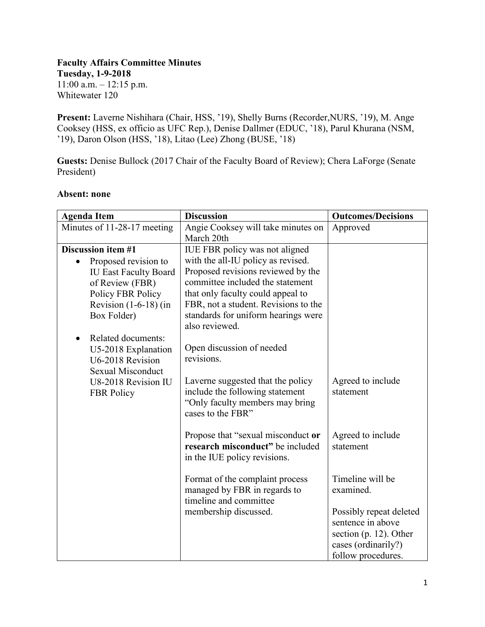## **Faculty Affairs Committee Minutes Tuesday, 1-9-2018**

11:00 a.m. – 12:15 p.m. Whitewater 120

**Present:** Laverne Nishihara (Chair, HSS, '19), Shelly Burns (Recorder,NURS, '19), M. Ange Cooksey (HSS, ex officio as UFC Rep.), Denise Dallmer (EDUC, '18), Parul Khurana (NSM, '19), Daron Olson (HSS, '18), Litao (Lee) Zhong (BUSE, '18)

Guests: Denise Bullock (2017 Chair of the Faculty Board of Review); Chera LaForge (Senate President)

| <b>Agenda Item</b>                | <b>Discussion</b>                                                  | <b>Outcomes/Decisions</b> |
|-----------------------------------|--------------------------------------------------------------------|---------------------------|
| Minutes of 11-28-17 meeting       | Angie Cooksey will take minutes on<br>March 20th                   | Approved                  |
| <b>Discussion item #1</b>         | IUE FBR policy was not aligned                                     |                           |
| Proposed revision to<br>$\bullet$ | with the all-IU policy as revised.                                 |                           |
| <b>IU East Faculty Board</b>      | Proposed revisions reviewed by the                                 |                           |
| of Review (FBR)                   | committee included the statement                                   |                           |
| Policy FBR Policy                 | that only faculty could appeal to                                  |                           |
| Revision $(1-6-18)$ (in           | FBR, not a student. Revisions to the                               |                           |
| Box Folder)                       | standards for uniform hearings were                                |                           |
|                                   | also reviewed.                                                     |                           |
| Related documents:<br>$\bullet$   |                                                                    |                           |
| U5-2018 Explanation               | Open discussion of needed                                          |                           |
| U6-2018 Revision                  | revisions.                                                         |                           |
| <b>Sexual Misconduct</b>          |                                                                    |                           |
| U8-2018 Revision IU               | Laverne suggested that the policy                                  | Agreed to include         |
| <b>FBR</b> Policy                 | include the following statement<br>"Only faculty members may bring | statement                 |
|                                   | cases to the FBR"                                                  |                           |
|                                   |                                                                    |                           |
|                                   | Propose that "sexual misconduct or                                 | Agreed to include         |
|                                   | research misconduct" be included                                   | statement                 |
|                                   | in the IUE policy revisions.                                       |                           |
|                                   | Format of the complaint process                                    | Timeline will be          |
|                                   | managed by FBR in regards to                                       | examined.                 |
|                                   | timeline and committee                                             |                           |
|                                   | membership discussed.                                              | Possibly repeat deleted   |
|                                   |                                                                    | sentence in above         |
|                                   |                                                                    | section $(p. 12)$ . Other |
|                                   |                                                                    | cases (ordinarily?)       |
|                                   |                                                                    | follow procedures.        |

## **Absent: none**